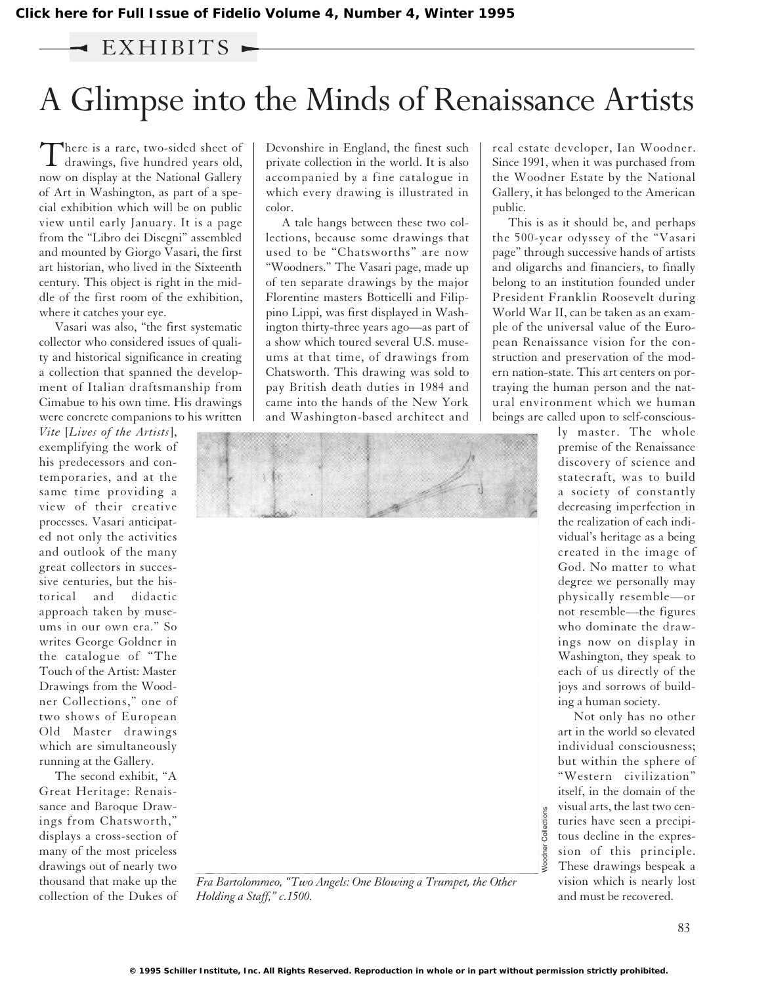## EXHIBITS -

# A Glimpse into the Minds of Renaissance Artists

There is a rare, two-sided sheet of<br>drawings, five hundred years old, now on display at the National Gallery of Art in Washington, as part of a special exhibition which will be on public view until early January. It is a page from the "Libro dei Disegni" assembled and mounted by Giorgo Vasari, the first art historian, who lived in the Sixteenth century. This object is right in the middle of the first room of the exhibition, where it catches your eye.

Vasari was also, "the first systematic collector who considered issues of quality and historical significance in creating a collection that spanned the development of Italian draftsmanship from Cimabue to his own time. His drawings were concrete companions to his written

*Vite* [*Lives of the Artists*], exemplifying the work of his predecessors and contemporaries, and at the same time providing a view of their creative processes. Vasari anticipated not only the activities and outlook of the many great collectors in successive centuries, but the historical and didactic approach taken by museums in our own era." So writes George Goldner in the catalogue of "The Touch of the Artist: Master Drawings from the Woodner Collections," one of two shows of European Old Master drawings which are simultaneously running at the Gallery.

The second exhibit, "A Great Heritage: Renaissance and Baroque Drawings from Chatsworth," displays a cross-section of many of the most priceless drawings out of nearly two thousand that make up the collection of the Dukes of Devonshire in England, the finest such private collection in the world. It is also accompanied by a fine catalogue in which every drawing is illustrated in color.

A tale hangs between these two collections, because some drawings that used to be "Chatsworths" are now "Woodners." The Vasari page, made up of ten separate drawings by the major Florentine masters Botticelli and Filippino Lippi, was first displayed in Washington thirty-three years ago—as part of a show which toured several U.S. museums at that time, of drawings from Chatsworth. This drawing was sold to pay British death duties in 1984 and came into the hands of the New York and Washington-based architect and



*Fra Bartolommeo, "Two Angels: One Blowing a Trumpet, the Other Holding a Staff," c.1500.*

real estate developer, Ian Woodner. Since 1991, when it was purchased from the Woodner Estate by the National Gallery, it has belonged to the American public.

This is as it should be, and perhaps the 500-year odyssey of the "Vasari page" through successive hands of artists and oligarchs and financiers, to finally belong to an institution founded under President Franklin Roosevelt during World War II, can be taken as an example of the universal value of the European Renaissance vision for the construction and preservation of the modern nation-state. This art centers on portraying the human person and the natural environment which we human beings are called upon to self-conscious-

> ly master. The whole premise of the Renaissance discovery of science and statecraft, was to build a society of constantly decreasing imperfection in the realization of each individual's heritage as a being created in the image of God. No matter to what degree we personally may physically resemble—or not resemble—the figures who dominate the drawings now on display in Washington, they speak to each of us directly of the joys and sorrows of building a human society.

> Not only has no other art in the world so elevated individual consciousness; but within the sphere of "Western civilization" itself, in the domain of the visual arts, the last two centuries have seen a precipitous decline in the expression of this principle. These drawings bespeak a vision which is nearly lost and must be recovered.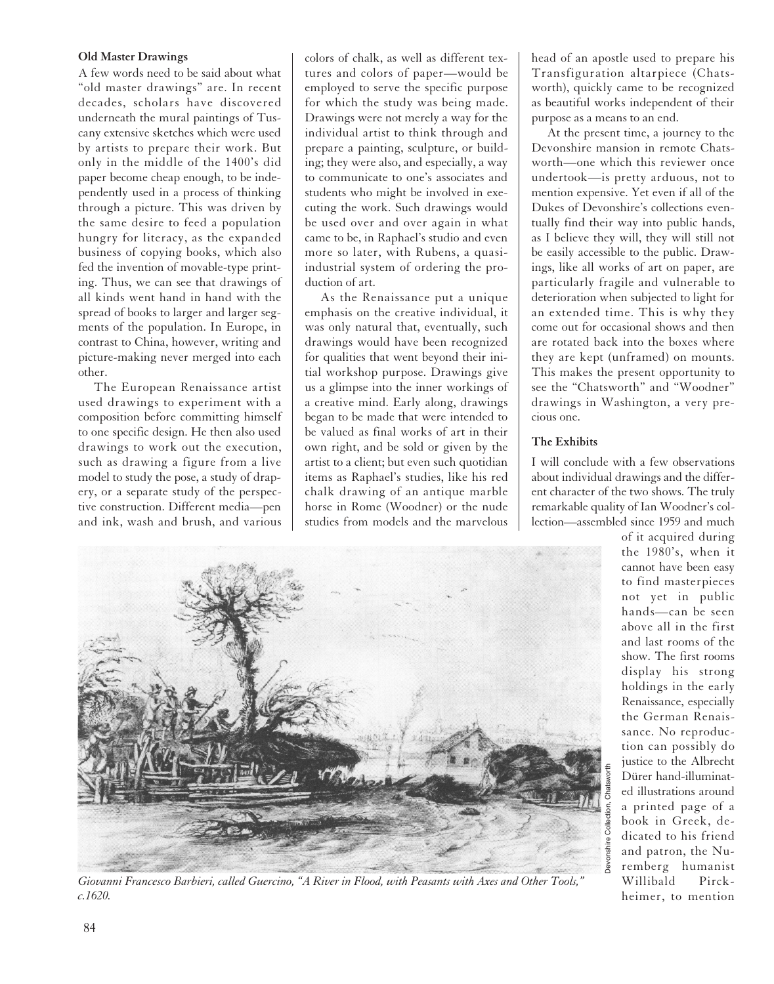#### **Old Master Drawings**

A few words need to be said about what "old master drawings" are. In recent decades, scholars have discovered underneath the mural paintings of Tuscany extensive sketches which were used by artists to prepare their work. But only in the middle of the 1400's did paper become cheap enough, to be independently used in a process of thinking through a picture. This was driven by the same desire to feed a population hungry for literacy, as the expanded business of copying books, which also fed the invention of movable-type printing. Thus, we can see that drawings of all kinds went hand in hand with the spread of books to larger and larger segments of the population. In Europe, in contrast to China, however, writing and picture-making never merged into each other.

The European Renaissance artist used drawings to experiment with a composition before committing himself to one specific design. He then also used drawings to work out the execution, such as drawing a figure from a live model to study the pose, a study of drapery, or a separate study of the perspective construction. Different media—pen and ink, wash and brush, and various colors of chalk, as well as different textures and colors of paper—would be employed to serve the specific purpose for which the study was being made. Drawings were not merely a way for the individual artist to think through and prepare a painting, sculpture, or building; they were also, and especially, a way to communicate to one's associates and students who might be involved in executing the work. Such drawings would be used over and over again in what came to be, in Raphael's studio and even more so later, with Rubens, a quasiindustrial system of ordering the production of art.

As the Renaissance put a unique emphasis on the creative individual, it was only natural that, eventually, such drawings would have been recognized for qualities that went beyond their initial workshop purpose. Drawings give us a glimpse into the inner workings of a creative mind. Early along, drawings began to be made that were intended to be valued as final works of art in their own right, and be sold or given by the artist to a client; but even such quotidian items as Raphael's studies, like his red chalk drawing of an antique marble horse in Rome (Woodner) or the nude studies from models and the marvelous head of an apostle used to prepare his Transfiguration altarpiece (Chatsworth), quickly came to be recognized as beautiful works independent of their purpose as a means to an end.

At the present time, a journey to the Devonshire mansion in remote Chatsworth—one which this reviewer once undertook—is pretty arduous, not to mention expensive. Yet even if all of the Dukes of Devonshire's collections eventually find their way into public hands, as I believe they will, they will still not be easily accessible to the public. Drawings, like all works of art on paper, are particularly fragile and vulnerable to deterioration when subjected to light for an extended time. This is why they come out for occasional shows and then are rotated back into the boxes where they are kept (unframed) on mounts. This makes the present opportunity to see the "Chatsworth" and "Woodner" drawings in Washington, a very precious one.

### **The Exhibits**

I will conclude with a few observations about individual drawings and the different character of the two shows. The truly remarkable quality of Ian Woodner's collection—assembled since 1959 and much



*Giovanni Francesco Barbieri, called Guercino, "A River in Flood, with Peasants with Axes and Other Tools," c.1620.*

of it acquired during the 1980's, when it cannot have been easy to find masterpieces not yet in public hands—can be seen above all in the first and last rooms of the show. The first rooms display his strong holdings in the early Renaissance, especially the German Renaissance. No reproduction can possibly do justice to the Albrecht Dürer hand-illuminated illustrations around a printed page of a book in Greek, dedicated to his friend and patron, the Nuremberg humanist Willibald Pirckheimer, to mention